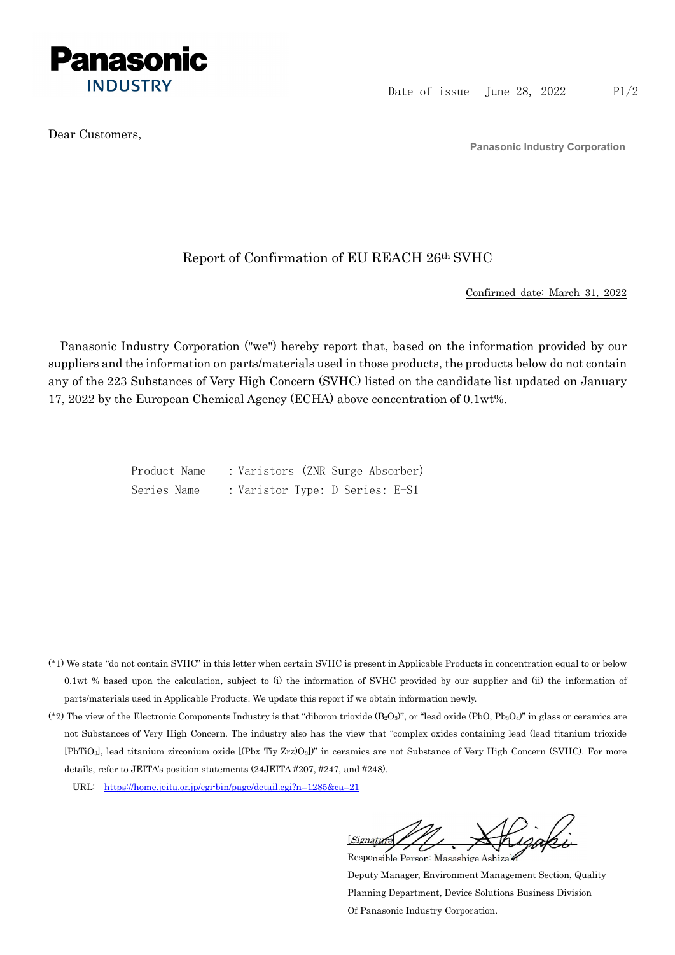

Dear Customers,

Panasonic Industry Corporation

## Report of Confirmation of EU REACH 26th SVHC

Confirmed date: March 31, 2022

Panasonic Industry Corporation ("we") hereby report that, based on the information provided by our suppliers and the information on parts/materials used in those products, the products below do not contain any of the 223 Substances of Very High Concern (SVHC) listed on the candidate list updated on January 17, 2022 by the European Chemical Agency (ECHA) above concentration of 0.1wt%.

> Product Name : Varistors (ZNR Surge Absorber) Series Name : Varistor Type: D Series: E-S1

- (\*1) We state "do not contain SVHC" in this letter when certain SVHC is present in Applicable Products in concentration equal to or below 0.1wt % based upon the calculation, subject to (i) the information of SVHC provided by our supplier and (ii) the information of parts/materials used in Applicable Products. We update this report if we obtain information newly.
- (\*2) The view of the Electronic Components Industry is that "diboron trioxide  $(B_2O_3)$ ", or "lead oxide (PbO, Pb<sub>3</sub>O<sub>4</sub>)" in glass or ceramics are not Substances of Very High Concern. The industry also has the view that "complex oxides containing lead (lead titanium trioxide [PbTiO3], lead titanium zirconium oxide [(Pbx Tiy Zrz)O3])" in ceramics are not Substance of Very High Concern (SVHC). For more details, refer to JEITA's position statements (24JEITA #207, #247, and #248).
	- URL: https://home.jeita.or.jp/cgi-bin/page/detail.cgi?n=1285&ca=21

[Signature] Responsible Person: Masashige Ashizaki

Deputy Manager, Environment Management Section, Quality Planning Department, Device Solutions Business Division Of Panasonic Industry Corporation.